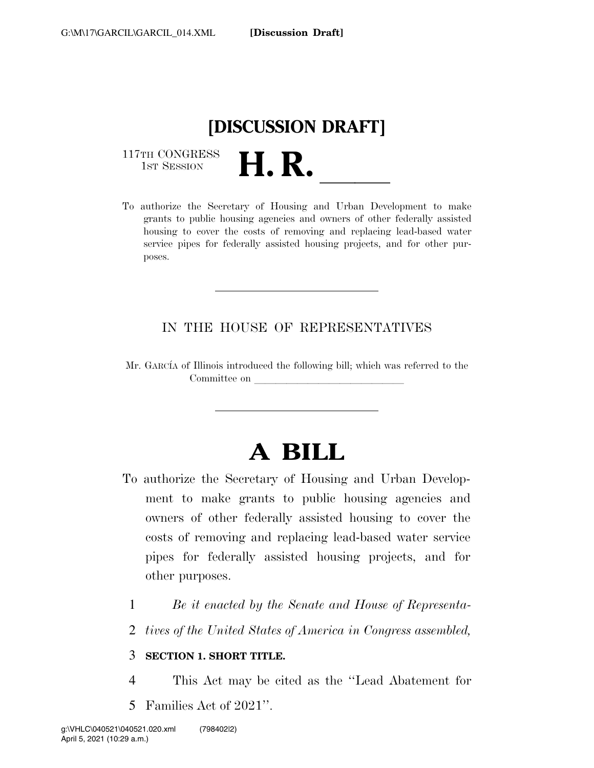

117TH CONGRESS<br>1st Session

117TH CONGRESS<br>1st SESSION<br>To authorize the Secretary of Housing and Urban Development to make grants to public housing agencies and owners of other federally assisted housing to cover the costs of removing and replacing lead-based water service pipes for federally assisted housing projects, and for other purposes.

## IN THE HOUSE OF REPRESENTATIVES

Mr. GARCIA of Illinois introduced the following bill; which was referred to the Committee on

# **A BILL**

- To authorize the Secretary of Housing and Urban Development to make grants to public housing agencies and owners of other federally assisted housing to cover the costs of removing and replacing lead-based water service pipes for federally assisted housing projects, and for other purposes.
	- 1 *Be it enacted by the Senate and House of Representa-*
	- 2 *tives of the United States of America in Congress assembled,*

## 3 **SECTION 1. SHORT TITLE.**

- 4 This Act may be cited as the ''Lead Abatement for
- 5 Families Act of 2021''.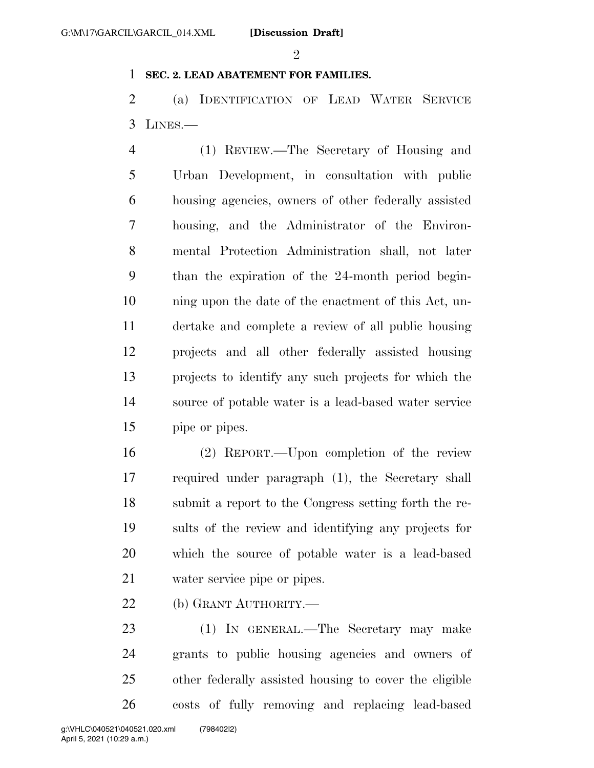#### $\mathfrak{D}$

### **SEC. 2. LEAD ABATEMENT FOR FAMILIES.**

 (a) IDENTIFICATION OF LEAD WATER SERVICE LINES.—

 (1) REVIEW.—The Secretary of Housing and Urban Development, in consultation with public housing agencies, owners of other federally assisted housing, and the Administrator of the Environ- mental Protection Administration shall, not later than the expiration of the 24-month period begin- ning upon the date of the enactment of this Act, un- dertake and complete a review of all public housing projects and all other federally assisted housing projects to identify any such projects for which the source of potable water is a lead-based water service pipe or pipes.

 (2) REPORT.—Upon completion of the review required under paragraph (1), the Secretary shall submit a report to the Congress setting forth the re- sults of the review and identifying any projects for which the source of potable water is a lead-based water service pipe or pipes.

22 (b) GRANT AUTHORITY.—

 (1) IN GENERAL.—The Secretary may make grants to public housing agencies and owners of other federally assisted housing to cover the eligible costs of fully removing and replacing lead-based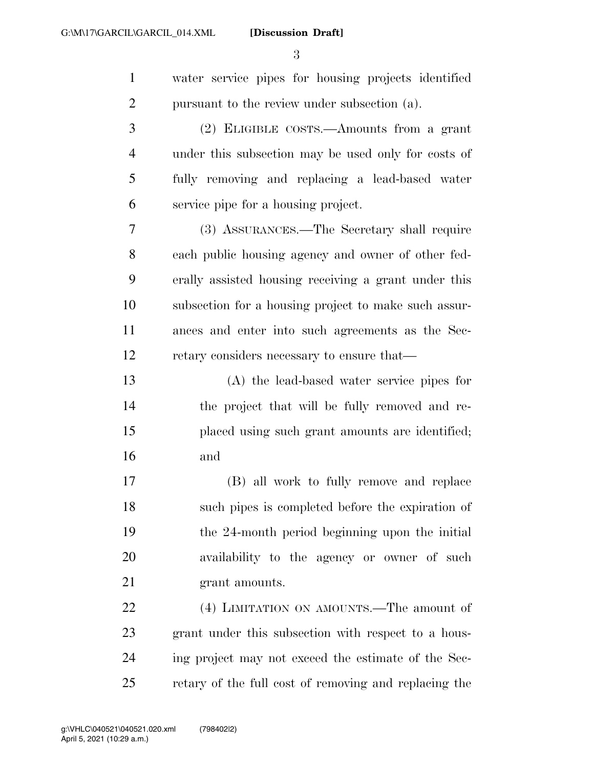**[Discussion Draft]** 

| $\mathbf{1}$   | water service pipes for housing projects identified  |
|----------------|------------------------------------------------------|
| $\overline{2}$ | pursuant to the review under subsection (a).         |
| 3              | (2) ELIGIBLE COSTS.—Amounts from a grant             |
| $\overline{4}$ | under this subsection may be used only for costs of  |
| 5              | fully removing and replacing a lead-based water      |
| 6              | service pipe for a housing project.                  |
| 7              | (3) ASSURANCES.—The Secretary shall require          |
| 8              | each public housing agency and owner of other fed-   |
| 9              | erally assisted housing receiving a grant under this |
| 10             | subsection for a housing project to make such assur- |
| 11             | ances and enter into such agreements as the Sec-     |
| 12             | retary considers necessary to ensure that—           |
| 13             | (A) the lead-based water service pipes for           |
| 14             | the project that will be fully removed and re-       |
| 15             | placed using such grant amounts are identified;      |
| 16             | and                                                  |
| 17             | (B) all work to fully remove and replace             |
| 18             | such pipes is completed before the expiration of     |
| 19             | the 24-month period beginning upon the initial       |
| 20             | availability to the agency or owner of such          |
| 21             | grant amounts.                                       |
| 22             | (4) LIMITATION ON AMOUNTS.—The amount of             |
| 23             | grant under this subsection with respect to a hous-  |
| 24             | ing project may not exceed the estimate of the Sec-  |

retary of the full cost of removing and replacing the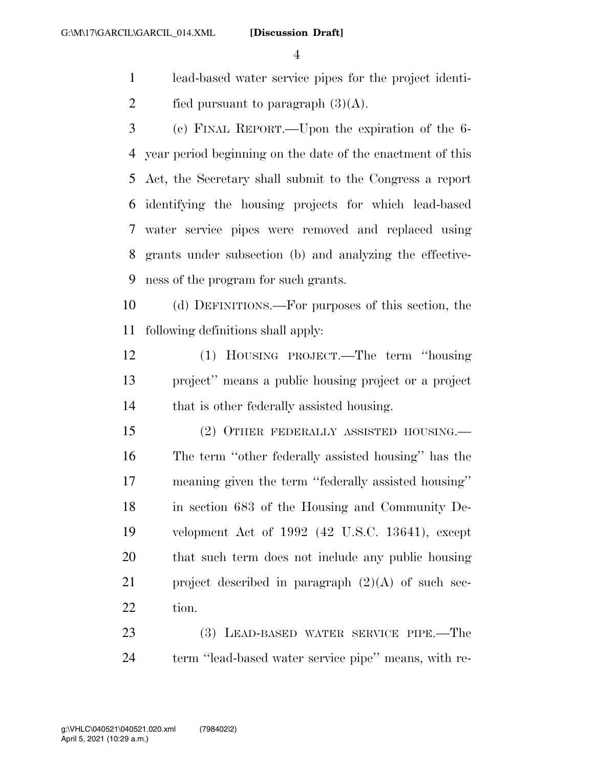**[Discussion Draft]** 

- lead-based water service pipes for the project identi-2 fied pursuant to paragraph  $(3)(A)$ .
- (c) FINAL REPORT.—Upon the expiration of the 6- year period beginning on the date of the enactment of this Act, the Secretary shall submit to the Congress a report identifying the housing projects for which lead-based water service pipes were removed and replaced using grants under subsection (b) and analyzing the effective-ness of the program for such grants.

 (d) DEFINITIONS.—For purposes of this section, the following definitions shall apply:

 (1) HOUSING PROJECT.—The term ''housing project'' means a public housing project or a project 14 that is other federally assisted housing.

 (2) OTHER FEDERALLY ASSISTED HOUSING.— The term ''other federally assisted housing'' has the meaning given the term ''federally assisted housing'' in section 683 of the Housing and Community De- velopment Act of 1992 (42 U.S.C. 13641), except that such term does not include any public housing 21 project described in paragraph  $(2)(A)$  of such sec-22 tion.

 (3) LEAD-BASED WATER SERVICE PIPE.—The 24 term "lead-based water service pipe" means, with re